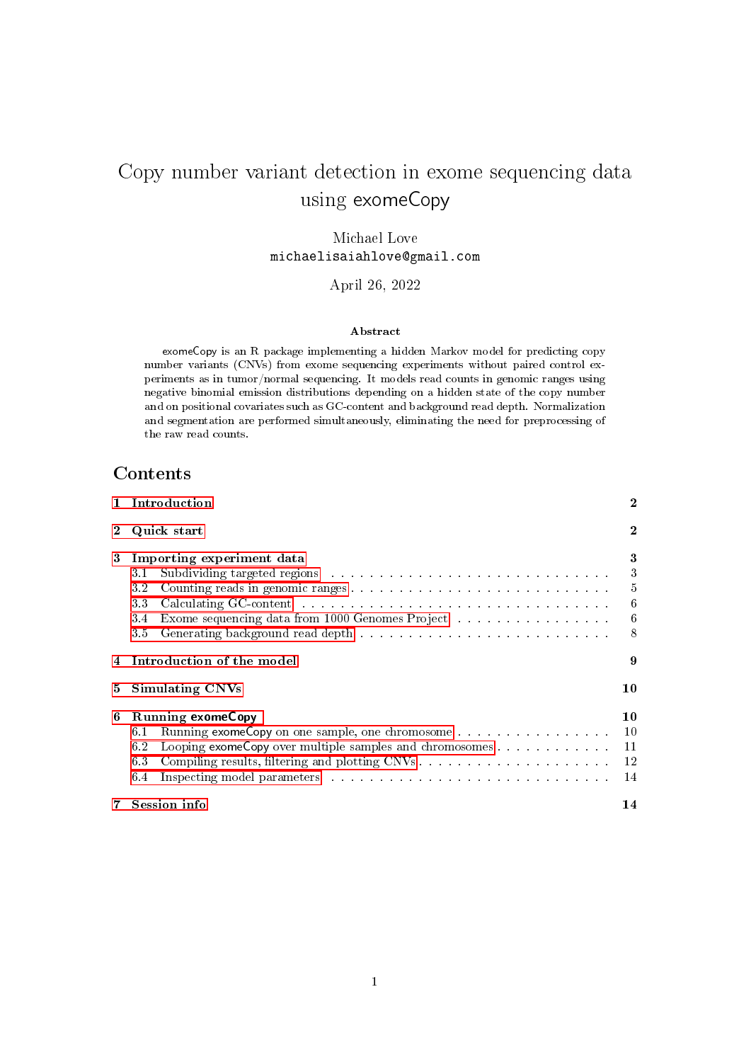# Copy number variant detection in exome sequencing data using exomeCopy

Michael Love michaelisaiahlove@gmail.com

April 26, 2022

#### Abstract

exomeCopy is an R package implementing a hidden Markov model for predicting copy number variants (CNVs) from exome sequencing experiments without paired control experiments as in tumor/normal sequencing. It models read counts in genomic ranges using negative binomial emission distributions depending on a hidden state of the copy number and on positional covariates such as GC-content and background read depth. Normalization and segmentation are performed simultaneously, eliminating the need for preprocessing of the raw read counts.

# **Contents**

|            | 1 Introduction                                                                                                                                                                                                                                                                                                                                   |                                                                                    |  |  |  |  |  |  |  |  |
|------------|--------------------------------------------------------------------------------------------------------------------------------------------------------------------------------------------------------------------------------------------------------------------------------------------------------------------------------------------------|------------------------------------------------------------------------------------|--|--|--|--|--|--|--|--|
|            | 2 Quick start                                                                                                                                                                                                                                                                                                                                    |                                                                                    |  |  |  |  |  |  |  |  |
| 3          | Importing experiment data<br>3.1<br>3.2<br>Calculating GC-content with the content of the content of the content of the content of the content of the content of the content of the content of the content of the content of the content of the content of the content of<br>33<br>Exome sequencing data from 1000 Genomes Project<br>3.4<br>3.5 | 3<br>$\overline{3}$<br>$\overline{5}$<br>$\boldsymbol{6}$<br>$\boldsymbol{6}$<br>8 |  |  |  |  |  |  |  |  |
|            | 4 Introduction of the model                                                                                                                                                                                                                                                                                                                      | 9                                                                                  |  |  |  |  |  |  |  |  |
| 5          | <b>Simulating CNVs</b>                                                                                                                                                                                                                                                                                                                           | 10                                                                                 |  |  |  |  |  |  |  |  |
| 6          | <b>Running exomeCopy</b><br>6.1<br>Looping exomeCopy over multiple samples and chromosomes 11<br>6.2<br>63<br>64                                                                                                                                                                                                                                 | 10<br>12<br>-14                                                                    |  |  |  |  |  |  |  |  |
| $7\degree$ | Session info                                                                                                                                                                                                                                                                                                                                     | 14                                                                                 |  |  |  |  |  |  |  |  |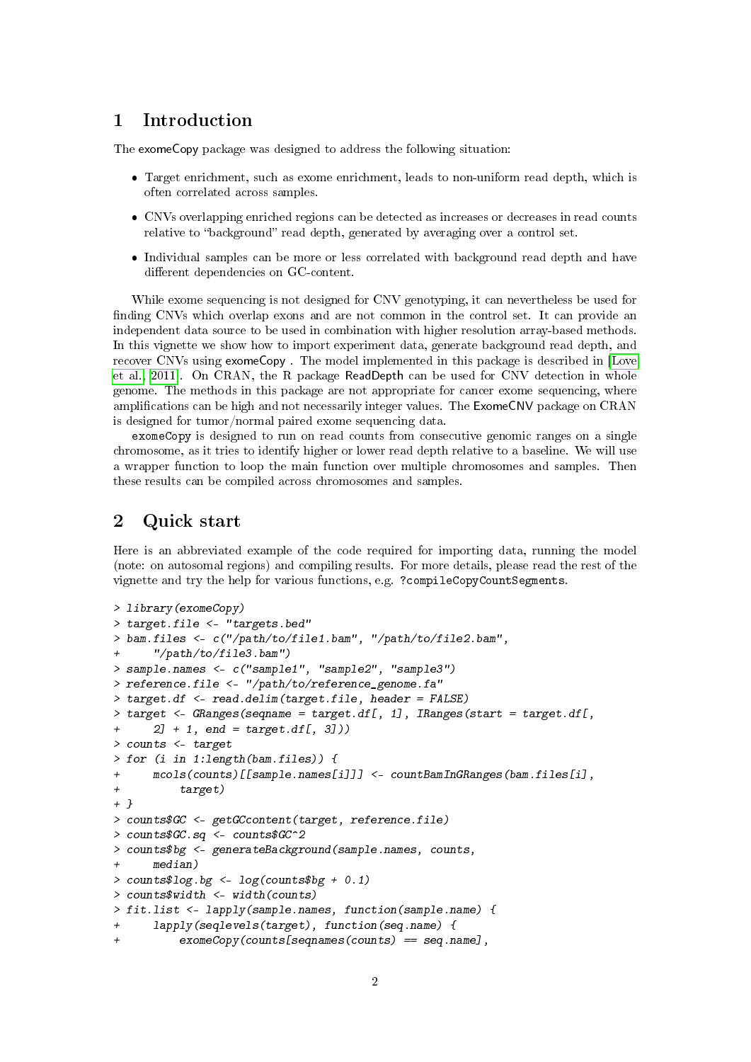# <span id="page-1-0"></span>1 Introduction

The exomeCopy package was designed to address the following situation:

- Target enrichment, such as exome enrichment, leads to non-uniform read depth, which is often correlated across samples.
- CNVs overlapping enriched regions can be detected as increases or decreases in read counts relative to "background" read depth, generated by averaging over a control set.
- Individual samples can be more or less correlated with background read depth and have different dependencies on GC-content.

While exome sequencing is not designed for CNV genotyping, it can nevertheless be used for finding CNVs which overlap exons and are not common in the control set. It can provide an independent data source to be used in combination with higher resolution array-based methods. In this vignette we show how to import experiment data, generate background read depth, and recover CNVs using exomeCopy . The model implemented in this package is described in [\[Love](#page-14-0) [et al., 2011\]](#page-14-0). On CRAN, the R package ReadDepth can be used for CNV detection in whole genome. The methods in this package are not appropriate for cancer exome sequencing, where amplications can be high and not necessarily integer values. The ExomeCNV package on CRAN is designed for tumor/normal paired exome sequencing data.

exomeCopy is designed to run on read counts from consecutive genomic ranges on a single chromosome, as it tries to identify higher or lower read depth relative to a baseline. We will use a wrapper function to loop the main function over multiple chromosomes and samples. Then these results can be compiled across chromosomes and samples.

### <span id="page-1-1"></span>2 Quick start

Here is an abbreviated example of the code required for importing data, running the model (note: on autosomal regions) and compiling results. For more details, please read the rest of the vignette and try the help for various functions, e.g. ?compileCopyCountSegments.

```
> library(exomeCopy)
> target.file <- "targets.bed"
> bam.files <- c("/path/to/file1.bam", "/path/to/file2.bam",
+ "/path/to/file3.bam")
> sample.names <- c("sample1", "sample2", "sample3")
> reference.file <- "/path/to/reference_genome.fa"
> target.df <- read.delim(target.file, header = FALSE)
> target <- GRanges(seqname = target.df[, 1], IRanges(start = target.df[,
+ 2] + 1, end = target.df[, 3]))
> counts <- target
> for (i in 1:length(bam.files)) {
+ mcols(counts)[[sample.names[i]]] <- countBamInGRanges(bam.files[i],
+ target)
+ }
> counts$GC <- getGCcontent(target, reference.file)
> counts$GC.sq <- counts$GC^2
> counts$bg <- generateBackground(sample.names, counts,
+ median)
> counts$log.bg <- log(counts$bg + 0.1)
> counts$width <- width(counts)
> fit.list <- lapply(sample.names, function(sample.name) {
+ lapply(seqlevels(target), function(seq.name) {
+ exomeCopy(counts[seqnames(counts) == seq.name],
```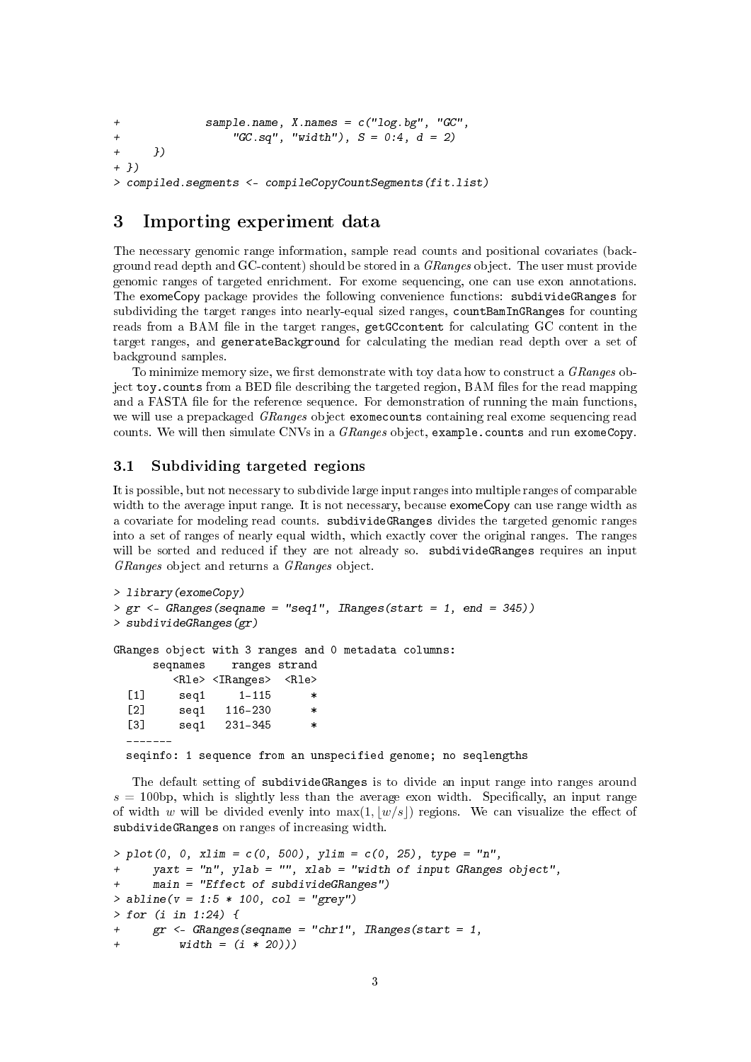```
+ sample.name, X.names = c("log.bg", "GC",
+ "GC.sq", "width"), S = 0:4, d = 2)+ })
+ })
> compiled.segments <- compileCopyCountSegments(fit.list)
```
### <span id="page-2-0"></span>3 Importing experiment data

The necessary genomic range information, sample read counts and positional covariates (background read depth and  $GC$ -content) should be stored in a  $GRanges$  object. The user must provide genomic ranges of targeted enrichment. For exome sequencing, one can use exon annotations. The exomeCopy package provides the following convenience functions: subdivideGRanges for subdividing the target ranges into nearly-equal sized ranges, countBamInGRanges for counting reads from a BAM file in the target ranges, getGCcontent for calculating GC content in the target ranges, and generateBackground for calculating the median read depth over a set of background samples.

To minimize memory size, we first demonstrate with toy data how to construct a  $GRanges$  object toy.counts from a BED file describing the targeted region, BAM files for the read mapping and a FASTA file for the reference sequence. For demonstration of running the main functions, we will use a prepackaged *GRanges* object exome counts containing real exome sequencing read counts. We will then simulate CNVs in a *GRanges* object, example.counts and run exomeCopy.

### <span id="page-2-1"></span>3.1 Subdividing targeted regions

It is possible, but not necessary to subdivide large input ranges into multiple ranges of comparable width to the average input range. It is not necessary, because exomeCopy can use range width as a covariate for modeling read counts. subdivideGRanges divides the targeted genomic ranges into a set of ranges of nearly equal width, which exactly cover the original ranges. The ranges will be sorted and reduced if they are not already so. subdivideGRanges requires an input GRanges object and returns a GRanges object.

```
> library(exomeCopy)
> gr < - GRanges(seqname = "seq1", IRanges(start = 1, end = 345))
> subdivideGRanges(gr)
GRanges object with 3 ranges and 0 metadata columns:
     seqnames ranges strand
        <Rle> <IRanges> <Rle>
  [1] seq1 1-115 *
  [2] seq1 116-230 *
  [3] seq1 231-345 *
  -------
 seqinfo: 1 sequence from an unspecified genome; no seqlengths
```
The default setting of subdivideGRanges is to divide an input range into ranges around  $s = 100$ bp, which is slightly less than the average exon width. Specifically, an input range of width w will be divided evenly into  $\max(1, |w/s|)$  regions. We can visualize the effect of subdivideGRanges on ranges of increasing width.

```
> plot(0, 0, xlim = c(0, 500), ylim = c(0, 25), type = "n",+ yaxt = "n", ylab = "", xlab = "width of input GRanges object",
+ main = "Effect of subdivideGRanges")
> abline(v = 1:5 * 100, col = "grey")
> for (i in 1:24) {
+ gr <- GRanges(seqname = "chr1", IRanges(start = 1,
+ width = (i * 20)))
```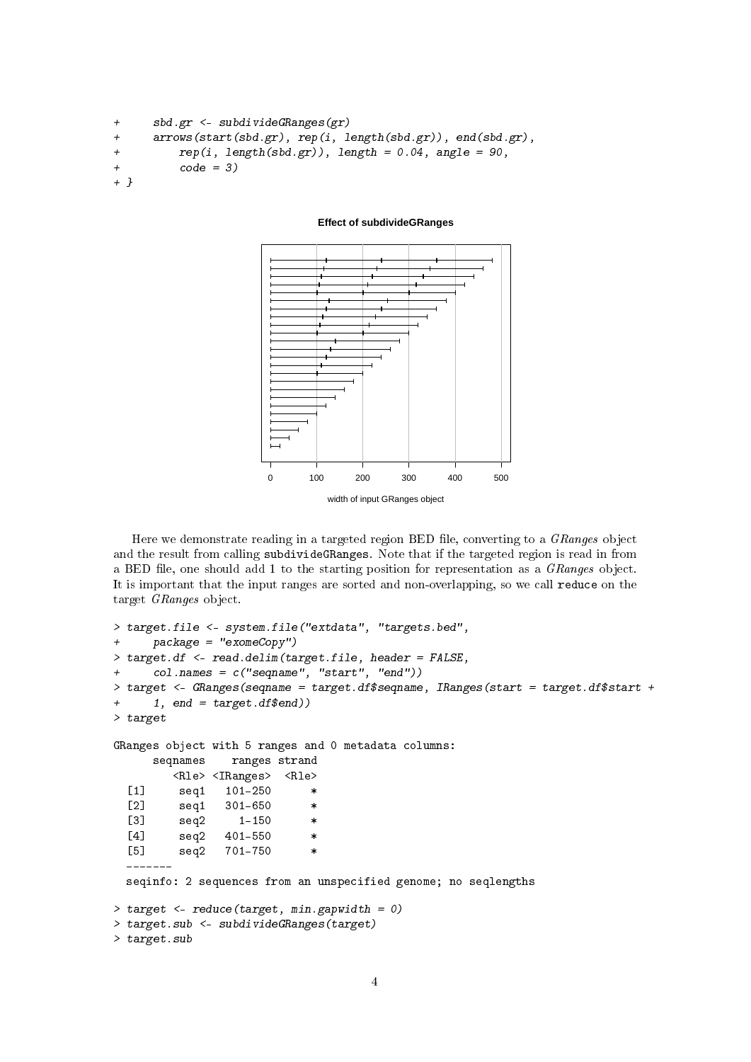```
+ sbd.gr <- subdivideGRanges(gr)
+ arrows(start(sbd.gr), rep(i, length(sbd.gr)), end(sbd.gr),
+ rep(i, length(sbd.gr)), length = 0.04, angle = 90,
+ code = 3)
+ }
```
#### **Effect of subdivideGRanges**



Here we demonstrate reading in a targeted region BED file, converting to a GRanges object and the result from calling subdivideGRanges. Note that if the targeted region is read in from a BED file, one should add 1 to the starting position for representation as a GRanges object. It is important that the input ranges are sorted and non-overlapping, so we call reduce on the target GRanges object.

```
> target.file <- system.file("extdata", "targets.bed",
+ package = "exomeCopy")
> target.df <- read.delim(target.file, header = FALSE,
+ col.names = c("seqname", "start", "end"))
> target <- GRanges(seqname = target.df$seqname, IRanges(start = target.df$start +
+ 1, end = target.df$end))
> target
GRanges object with 5 ranges and 0 metadata columns:
     seqnames ranges strand
        <Rle> <IRanges> <Rle>
  [1] seq1 101-250 *
  [2] seq1 301-650 *
  [3] seq2 1-150[4] seq2 401-550 *[5] seq2 701-750
  -------
 seqinfo: 2 sequences from an unspecified genome; no seqlengths
> target <- reduce(target, min.gapwidth = 0)
> target.sub <- subdivideGRanges(target)
> target.sub
```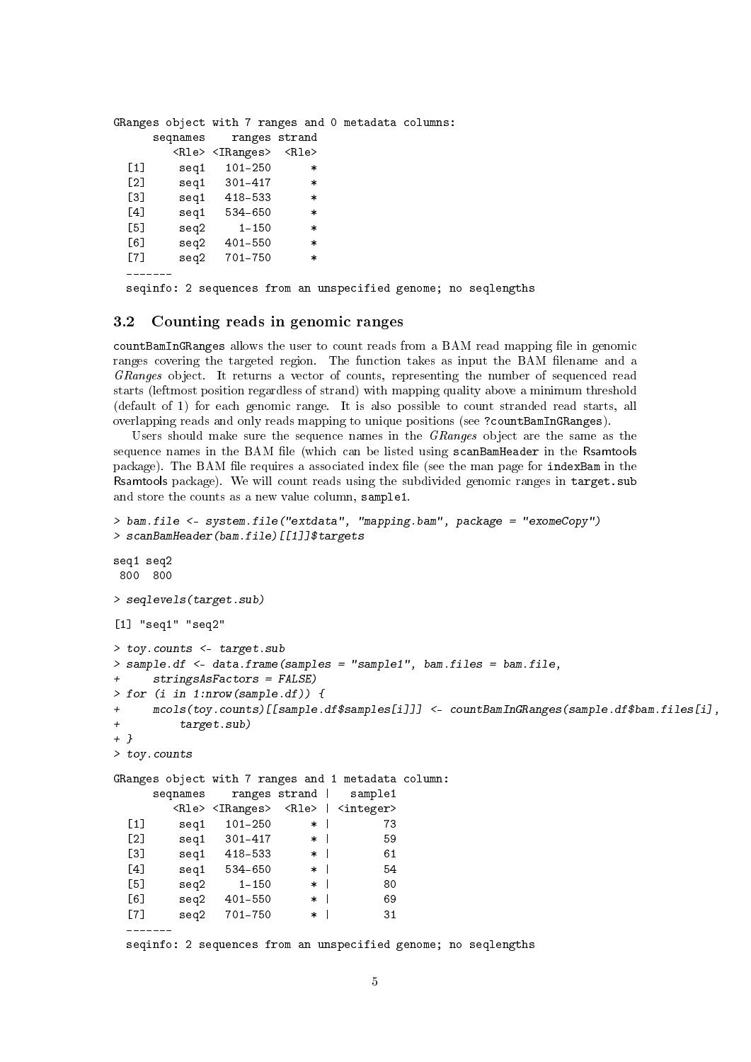|                                                        |                                 |           |         |               |        | GRanges object with 7 ranges and 0 metadata columns: |  |
|--------------------------------------------------------|---------------------------------|-----------|---------|---------------|--------|------------------------------------------------------|--|
|                                                        | seqnames                        |           |         | ranges strand |        |                                                      |  |
|                                                        | <rle> <iranges></iranges></rle> |           |         | <rle></rle>   |        |                                                      |  |
| $\left[\begin{smallmatrix}1\1\end{smallmatrix}\right]$ | seq1                            |           | 101-250 |               | $\ast$ |                                                      |  |
| Г21                                                    | seq1                            | - 301–417 |         |               | $\ast$ |                                                      |  |
| Г31                                                    | seq1                            | 418-533   |         |               | $\ast$ |                                                      |  |
| [4]                                                    | seg1                            | 534-650   |         |               | $\ast$ |                                                      |  |
| Г51                                                    | seq2                            |           | 1-150   |               | $\ast$ |                                                      |  |
| [6]                                                    | seq2                            | 401-550   |         |               | $\ast$ |                                                      |  |
| [7]                                                    | seq2                            | 701-750   |         |               | $\ast$ |                                                      |  |
|                                                        |                                 |           |         |               |        |                                                      |  |

seqinfo: 2 sequences from an unspecified genome; no seqlengths

#### <span id="page-4-0"></span>3.2 Counting reads in genomic ranges

countBamInGRanges allows the user to count reads from a BAM read mapping file in genomic ranges covering the targeted region. The function takes as input the BAM filename and a GRanges object. It returns a vector of counts, representing the number of sequenced read starts (leftmost position regardless of strand) with mapping quality above a minimum threshold (default of 1) for each genomic range. It is also possible to count stranded read starts, all overlapping reads and only reads mapping to unique positions (see ?countBamInGRanges).

Users should make sure the sequence names in the GRanges object are the same as the sequence names in the BAM file (which can be listed using scanBamHeader in the Rsamtools package). The BAM file requires a associated index file (see the man page for indexBam in the Rsamtools package). We will count reads using the subdivided genomic ranges in target.sub and store the counts as a new value column, sample1.

```
> bam.file <- system.file("extdata", "mapping.bam", package = "exomeCopy")
> scanBamHeader(bam.file)[[1]]$targets
seq1 seq2
800 800
> seqlevels(target.sub)
[1] "seq1" "seq2"
> toy.counts <- target.sub
> sample.df <- data.frame(samples = "sample1", bam.files = bam.file,
     stringsAsFactors = FALSE)> for (i in 1:nrow(sample.df)) {
+ mcols(toy.counts)[[sample.df$samples[i]]] <- countBamInGRanges(sample.df$bam.files[i],
+ target.sub)
+ }
> toy.counts
GRanges object with 7 ranges and 1 metadata column:
     seqnames ranges strand | sample1
       <Rle> <IRanges> <Rle> | <integer>
 [1] seq1 101-250 * | 73
 [2] seq1 301-417 * | 59
 [3] seq1 418-533 * | 61
 [4] seq1 534-650 * | 54
 [5] seq2 1-150 * | 80
 [6] seq2 401-550 * | 69
 [7] seq2 701-750 * | 31
 -------
 seqinfo: 2 sequences from an unspecified genome; no seqlengths
```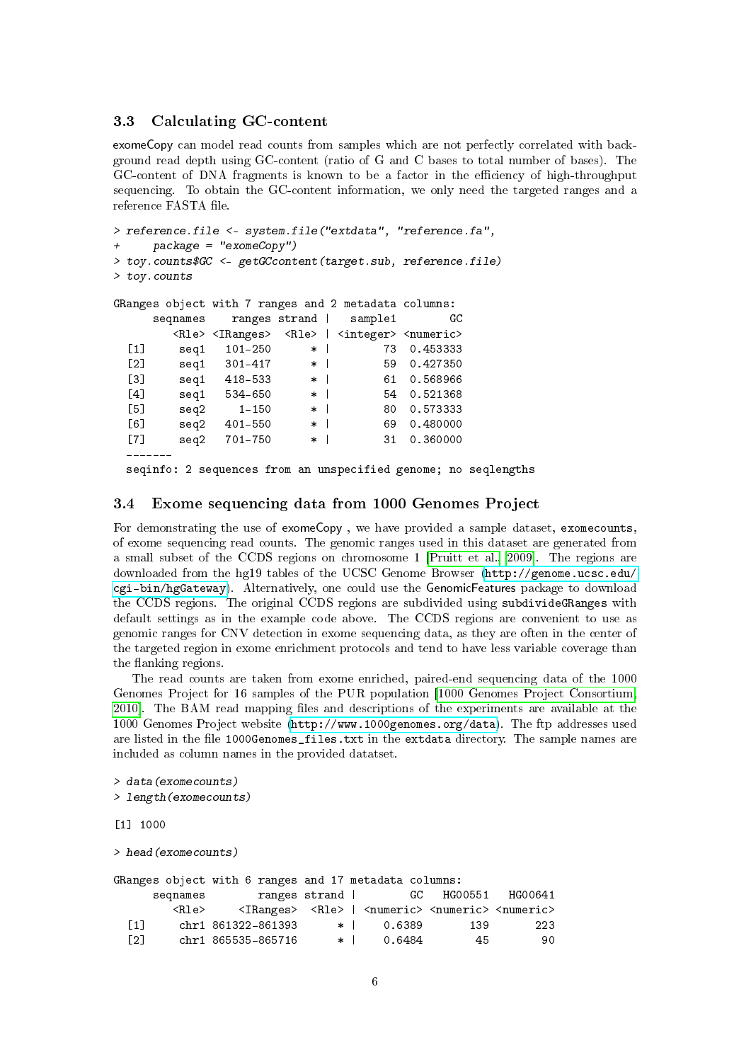### <span id="page-5-0"></span>3.3 Calculating GC-content

exomeCopy can model read counts from samples which are not perfectly correlated with background read depth using GC-content (ratio of G and C bases to total number of bases). The GC-content of DNA fragments is known to be a factor in the efficiency of high-throughput sequencing. To obtain the GC-content information, we only need the targeted ranges and a reference FASTA file.

```
> reference.file <- system.file("extdata", "reference.fa",
    package = "exomeCopy")> toy.counts$GC <- getGCcontent(target.sub, reference.file)
> toy.counts
GRanges object with 7 ranges and 2 metadata columns:
    seqnames ranges strand | sample1 GC
       <Rle> <IRanges> <Rle> | <integer> <numeric>
 [1] seq1 101-250 * | 73 0.453333
 [2] seq1 301-417 * | 59 0.427350
 [3] seq1 418-533 * | 61 0.568966
 [4] seq1 534-650 * | 54 0.521368
 [5] seq2 1-150 * 80 0.573333
 [6] seq2 401-550 * | 69 0.480000
```

```
[7] seq2 701-750 * | 31 0.360000
-------
```
seqinfo: 2 sequences from an unspecified genome; no seqlengths

### <span id="page-5-1"></span>3.4 Exome sequencing data from 1000 Genomes Project

For demonstrating the use of exomeCopy , we have provided a sample dataset, exomecounts, of exome sequencing read counts. The genomic ranges used in this dataset are generated from a small subset of the CCDS regions on chromosome 1 [\[Pruitt et al., 2009\]](#page-14-1). The regions are downloaded from the hg19 tables of the UCSC Genome Browser [\(http://genome.ucsc.edu/](http://genome.ucsc.edu/cgi-bin/hgGateway) [cgi-bin/hgGateway\)](http://genome.ucsc.edu/cgi-bin/hgGateway). Alternatively, one could use the GenomicFeatures package to download the CCDS regions. The original CCDS regions are subdivided using subdivideGRanges with default settings as in the example code above. The CCDS regions are convenient to use as genomic ranges for CNV detection in exome sequencing data, as they are often in the center of the targeted region in exome enrichment protocols and tend to have less variable coverage than the flanking regions.

The read counts are taken from exome enriched, paired-end sequencing data of the 1000 Genomes Project for 16 samples of the PUR population [\[1000 Genomes Project Consortium,](#page-14-2) [2010\]](#page-14-2). The BAM read mapping files and descriptions of the experiments are available at the 1000 Genomes Project website [\(http://www.1000genomes.org/data\)](http://www.1000genomes.org/data). The ftp addresses used are listed in the file 1000Genomes\_files.txt in the extdata directory. The sample names are included as column names in the provided datatset.

```
> data(exomecounts)
> length(exomecounts)
```
#### [1] 1000

> head(exomecounts)

|        |             | GRanges object with 6 ranges and 17 metadata columns:                                         |        |                  |        |            |         |
|--------|-------------|-----------------------------------------------------------------------------------------------|--------|------------------|--------|------------|---------|
|        | seqnames    | ranges strand                                                                                 |        |                  |        | GC HG00551 | HG00641 |
|        | <rle></rle> | <iranges> <rle>   <numeric> <numeric> <numeric></numeric></numeric></numeric></rle></iranges> |        |                  |        |            |         |
| F1 1 L |             | chr1 861322-861393                                                                            |        | $\star$ $\vdash$ | 0.6389 | 139        | 223     |
| [2]    |             | chr1 865535-865716                                                                            | $\ast$ |                  | 0.6484 | 45         | 90      |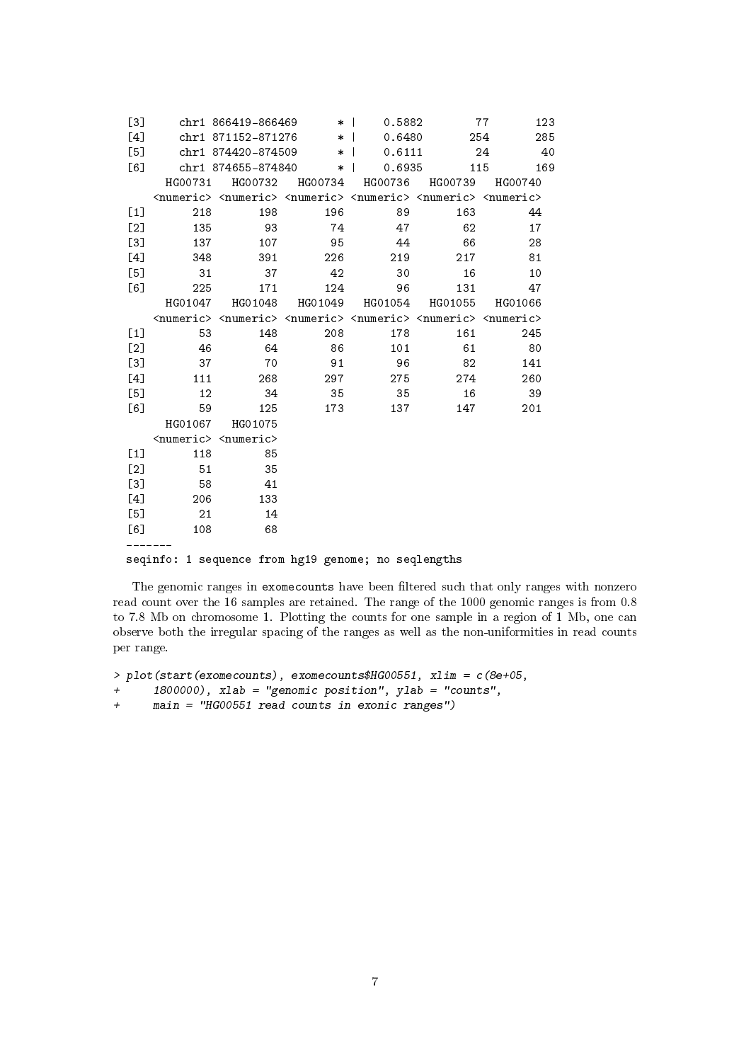| [3]   |                                                     | chr1 866419-866469                                                                                                      | $\ast$  | 0.5882  |         | 77<br>123  |  |  |
|-------|-----------------------------------------------------|-------------------------------------------------------------------------------------------------------------------------|---------|---------|---------|------------|--|--|
| [4]   |                                                     | chr1 871152-871276                                                                                                      | $\ast$  | 0.6480  |         | 285<br>254 |  |  |
| [5]   |                                                     | chr1 874420-874509                                                                                                      | $\ast$  | 0.6111  |         | 24<br>40   |  |  |
| [6]   |                                                     | chr1 874655-874840                                                                                                      | $\ast$  | 0.6935  | 115     | 169        |  |  |
|       | HG00731                                             | HG00732                                                                                                                 | HG00734 | HG00736 | HG00739 | HG00740    |  |  |
|       |                                                     | <numeric> <numeric> <numeric> <numeric> <numeric> <numeric></numeric></numeric></numeric></numeric></numeric></numeric> |         |         |         |            |  |  |
| $[1]$ | 218                                                 | 198                                                                                                                     | 196     | 89      | 163     | 44         |  |  |
| [2]   | 135                                                 | 93                                                                                                                      | 74      | 47      | 62      | 17         |  |  |
| [3]   | 137                                                 | 107                                                                                                                     | 95      | 44      | 66      | 28         |  |  |
| [4]   | 348                                                 | 391                                                                                                                     | 226     | 219     | 217     | 81         |  |  |
| [5]   | 31                                                  | 37                                                                                                                      | 42      | 30      | 16      | 10         |  |  |
| [6]   | 225                                                 | 171                                                                                                                     | 124     | 96      | 131     | 47         |  |  |
|       | HG01047                                             | HG01048                                                                                                                 | HG01049 | HG01054 | HG01055 | HG01066    |  |  |
|       |                                                     | <numeric> <numeric> <numeric> <numeric> <numeric> <numeric></numeric></numeric></numeric></numeric></numeric></numeric> |         |         |         |            |  |  |
| [1]   | 53                                                  | 148                                                                                                                     | 208     | 178     | 161     | 245        |  |  |
| [2]   | 46                                                  | 64                                                                                                                      | 86      | 101     | 61      | 80         |  |  |
| [3]   | 37                                                  | 70                                                                                                                      | 91      | 96      | 82      | 141        |  |  |
| [4]   | 111                                                 | 268                                                                                                                     | 297     | 275     | 274     | 260        |  |  |
| [5]   | 12                                                  | 34                                                                                                                      | 35      | 35      | 16      | 39         |  |  |
| [6]   | 59                                                  | 125                                                                                                                     | 173     | 137     | 147     | 201        |  |  |
|       | HG01067                                             | HG01075                                                                                                                 |         |         |         |            |  |  |
|       |                                                     | <numeric> <numeric></numeric></numeric>                                                                                 |         |         |         |            |  |  |
| [1]   | 118                                                 | 85                                                                                                                      |         |         |         |            |  |  |
| [2]   | 51                                                  | 35                                                                                                                      |         |         |         |            |  |  |
| [3]   | 58                                                  | 41                                                                                                                      |         |         |         |            |  |  |
| [4]   | 206                                                 | 133                                                                                                                     |         |         |         |            |  |  |
| [5]   | 21                                                  | 14                                                                                                                      |         |         |         |            |  |  |
| [6]   | 108                                                 | 68                                                                                                                      |         |         |         |            |  |  |
|       |                                                     |                                                                                                                         |         |         |         |            |  |  |
|       | seqinfo: 1 sequence from hg19 genome; no seqlengths |                                                                                                                         |         |         |         |            |  |  |

The genomic ranges in exomecounts have been filtered such that only ranges with nonzero read count over the 16 samples are retained. The range of the 1000 genomic ranges is from 0.8 to 7.8 Mb on chromosome 1. Plotting the counts for one sample in a region of 1 Mb, one can observe both the irregular spacing of the ranges as well as the non-uniformities in read counts per range.

```
> plot(start(exomecounts), exomecounts$HG00551, xlim = c(8e+05,
```

```
+ 1800000), xlab = "genomic position", ylab = "counts",
```
+ main = "HG00551 read counts in exonic ranges")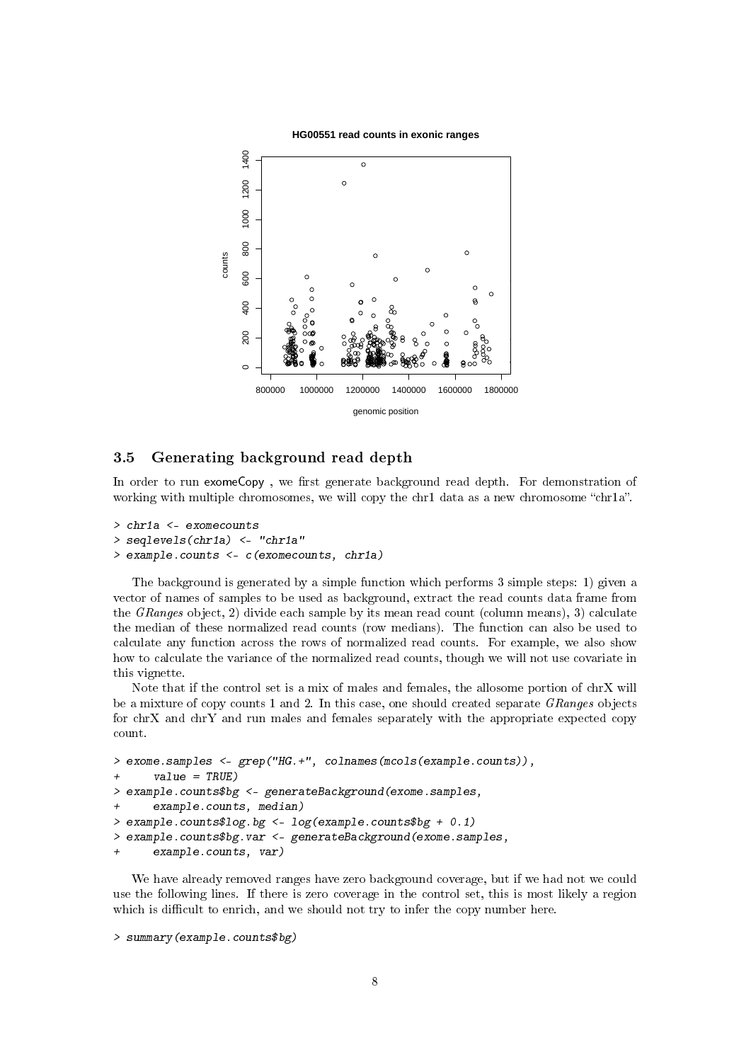

#### <span id="page-7-0"></span>3.5 Generating background read depth

In order to run exomeCopy, we first generate background read depth. For demonstration of working with multiple chromosomes, we will copy the chr1 data as a new chromosome "chr1a".

```
> chr1a <- exomecounts
> seqlevels(chr1a) <- "chr1a"
> example.counts <- c(exomecounts, chr1a)
```
The background is generated by a simple function which performs 3 simple steps: 1) given a vector of names of samples to be used as background, extract the read counts data frame from the *GRanges* object, 2) divide each sample by its mean read count (column means), 3) calculate the median of these normalized read counts (row medians). The function can also be used to calculate any function across the rows of normalized read counts. For example, we also show how to calculate the variance of the normalized read counts, though we will not use covariate in this vignette.

Note that if the control set is a mix of males and females, the allosome portion of chrX will be a mixture of copy counts 1 and 2. In this case, one should created separate GRanges objects for chrX and chrY and run males and females separately with the appropriate expected copy count.

```
> exome.samples <- grep("HG.+", colnames(mcols(example.counts)),
+ value = TRUE)
> example.counts$bg <- generateBackground(exome.samples,
+ example.counts, median)
> example.counts$log.bg <- log(example.counts$bg + 0.1)
> example.counts$bg.var <- generateBackground(exome.samples,
+ example.counts, var)
```
We have already removed ranges have zero background coverage, but if we had not we could use the following lines. If there is zero coverage in the control set, this is most likely a region which is difficult to enrich, and we should not try to infer the copy number here.

```
> summary(example.counts$bg)
```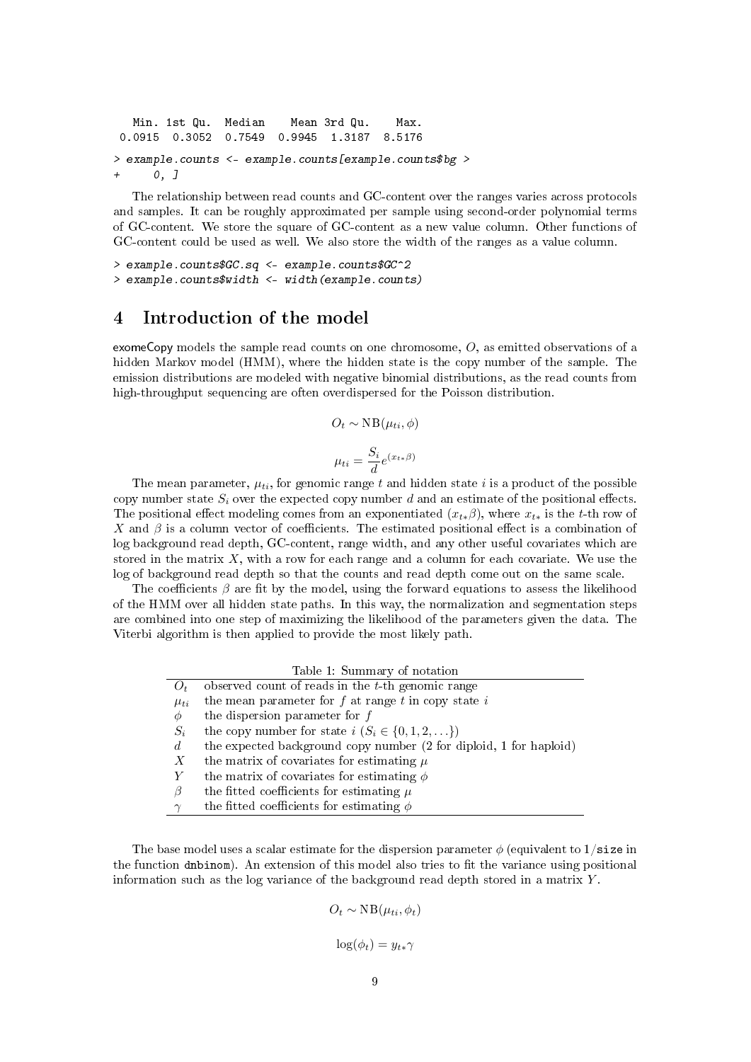```
Min. 1st Qu. Median Mean 3rd Qu. Max.
 0.0915 0.3052 0.7549 0.9945 1.3187 8.5176
> example.counts <- example.counts[example.counts$bg >
+ 0, ]
```
The relationship between read counts and GC-content over the ranges varies across protocols and samples. It can be roughly approximated per sample using second-order polynomial terms of GC-content. We store the square of GC-content as a new value column. Other functions of GC-content could be used as well. We also store the width of the ranges as a value column.

```
> example.counts$GC.sq <- example.counts$GC^2
> example.counts$width <- width(example.counts)
```
### <span id="page-8-0"></span>4 Introduction of the model

exomeCopy models the sample read counts on one chromosome, O, as emitted observations of a hidden Markov model (HMM), where the hidden state is the copy number of the sample. The emission distributions are modeled with negative binomial distributions, as the read counts from high-throughput sequencing are often overdispersed for the Poisson distribution.

$$
O_t \sim \text{NB}(\mu_{ti}, \phi)
$$

$$
\mu_{ti} = \frac{S_i}{d} e^{(x_{t*}\beta)}
$$

The mean parameter,  $\mu_{ti}$ , for genomic range t and hidden state i is a product of the possible copy number state  $S_i$  over the expected copy number d and an estimate of the positional effects. The positional effect modeling comes from an exponentiated  $(x_{t*}\beta)$ , where  $x_{t*}$  is the t-th row of X and  $\beta$  is a column vector of coefficients. The estimated positional effect is a combination of log background read depth, GC-content, range width, and any other useful covariates which are stored in the matrix  $X$ , with a row for each range and a column for each covariate. We use the log of background read depth so that the counts and read depth come out on the same scale.

The coefficients  $\beta$  are fit by the model, using the forward equations to assess the likelihood of the HMM over all hidden state paths. In this way, the normalization and segmentation steps are combined into one step of maximizing the likelihood of the parameters given the data. The Viterbi algorithm is then applied to provide the most likely path.

|                  | Table 1: Summary of notation                                       |
|------------------|--------------------------------------------------------------------|
| $\mathcal{O}_t$  | observed count of reads in the $t$ -th genomic range               |
| $\mu_{ti}$       | the mean parameter for $f$ at range $t$ in copy state $i$          |
| Φ                | the dispersion parameter for $f$                                   |
| $S_i$            | the copy number for state $i$ $(S_i \in \{0, 1, 2, \ldots\})$      |
| d                | the expected background copy number (2 for diploid, 1 for haploid) |
| $\boldsymbol{X}$ | the matrix of covariates for estimating $\mu$                      |
|                  | the matrix of covariates for estimating $\phi$                     |
| B                | the fitted coefficients for estimating $\mu$                       |
|                  | the fitted coefficients for estimating $\phi$                      |

The base model uses a scalar estimate for the dispersion parameter  $\phi$  (equivalent to 1/size in the function dnbinom). An extension of this model also tries to fit the variance using positional information such as the log variance of the background read depth stored in a matrix  $Y$ .

$$
O_t \sim \text{NB}(\mu_{ti}, \phi_t)
$$

 $\log(\phi_t) = y_{t*} \gamma$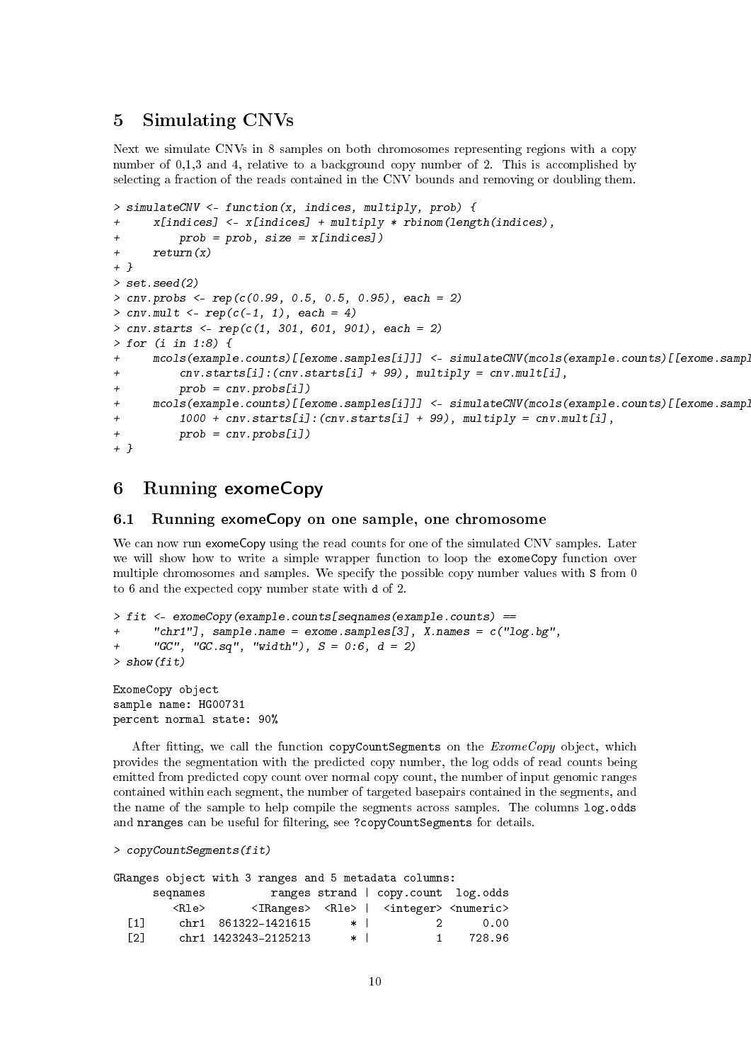### <span id="page-9-0"></span>5 Simulating CNVs

Next we simulate CNVs in 8 samples on both chromosomes representing regions with a copy number of 0,1,3 and 4, relative to a background copy number of 2. This is accomplished by selecting a fraction of the reads contained in the CNV bounds and removing or doubling them.

```
> simulateCNV <- function(x, indices, multiply, prob) {
+ x[indices] <- x[indices] + multiply * rbinom(length(indices),
+ prob = prob, size = x[indices])
+ return(x)
+ }
> set.seed(2)
> cnv.probs <- rep(c(0.99, 0.5, 0.5, 0.95), each = 2)
> cnv.mult <- rep(c(-1, 1), each = 4)> cnv.starts <- rep(c(1, 301, 601, 901), each = 2)
> for (i in 1:8) {
+ mcols(example.counts)[[exome.samples[i]]] <- simulateCNV(mcols(example.counts)[[exome.samples[i]]],
+ cnv.starts[i]:(cnv.starts[i] + 99), multiply = cnv.mult[i],
+ prob = cnv.probs[i])
+ mcols(example.counts)[[exome.samples[i]]] <- simulateCNV(mcols(example.counts)[[exome.samp]
+ 1000 + cnv.starts[i]:(cnv.starts[i] + 99), multiply = cnv.mult[i],
+ prob = cnv.probs[i])
+ }
```
## <span id="page-9-1"></span>6 Running exomeCopy

### <span id="page-9-2"></span>6.1 Running exomeCopy on one sample, one chromosome

We can now run exomeCopy using the read counts for one of the simulated CNV samples. Later we will show how to write a simple wrapper function to loop the exomeCopy function over multiple chromosomes and samples. We specify the possible copy number values with S from 0 to 6 and the expected copy number state with d of 2.

```
> fit <- exomeCopy(example.counts[seqnames(example.counts) ==
+ "chr1"], sample.name = exome.samples[3], X.names = c("log.bg",
+ "GC", "GC.sq", "width"), S = 0:6, d = 2)> show(fit)
ExomeCopy object
sample name: HG00731
percent normal state: 90%
```
After fitting, we call the function copyCountSegments on the  $ExomeCopy$  object, which provides the segmentation with the predicted copy number, the log odds of read counts being emitted from predicted copy count over normal copy count, the number of input genomic ranges contained within each segment, the number of targeted basepairs contained in the segments, and the name of the sample to help compile the segments across samples. The columns log.odds and nranges can be useful for filtering, see ?copyCountSegments for details.

```
> copyCountSegments(fit)
```

|      |                         | GRanges object with 3 ranges and 5 metadata columns: |        |        |    |                                                                           |
|------|-------------------------|------------------------------------------------------|--------|--------|----|---------------------------------------------------------------------------|
|      | segnames                |                                                      |        |        |    | ranges strand   copy.count log.odds                                       |
|      | $\langle$ Rle $\rangle$ |                                                      |        |        |    | $\langle$ IRanges> $\langle$ Rle>   $\langle$ integer> $\langle$ numeric> |
| F1 1 |                         | chr1 861322-1421615                                  |        | $\ast$ | 2. | 0.00                                                                      |
| E21. |                         | chr1 1423243-2125213                                 | $\ast$ |        |    | 728.96                                                                    |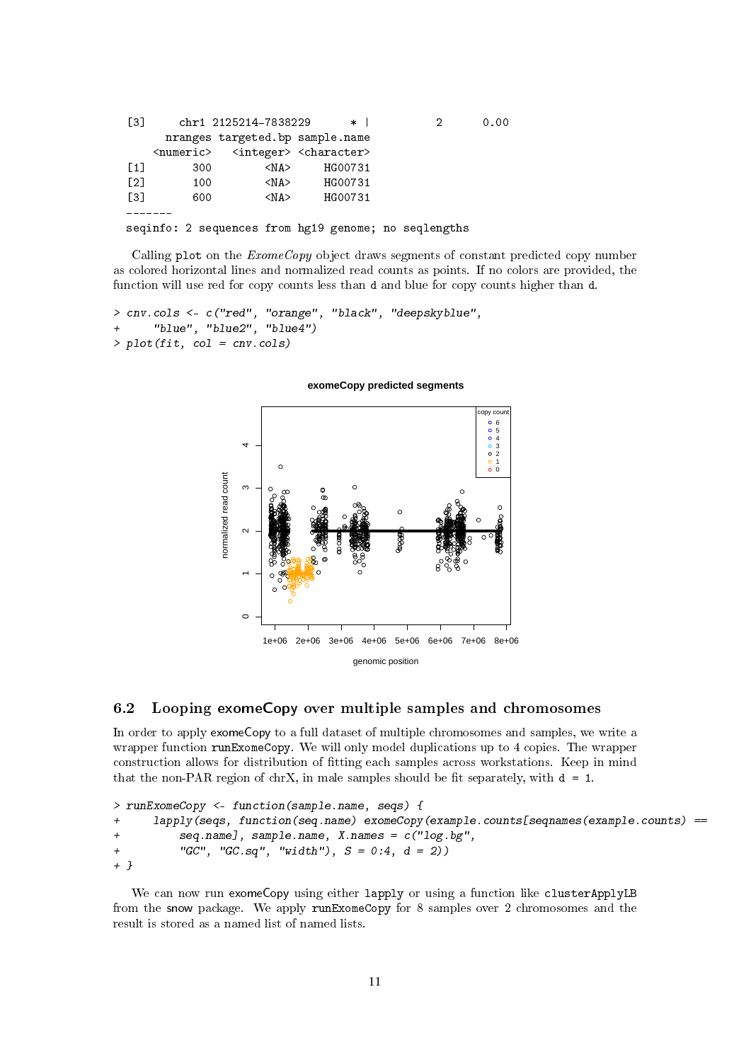| [3]               |     | chr1 2125214-7838229                                            | $*1$    |                                                      | 0.00 |
|-------------------|-----|-----------------------------------------------------------------|---------|------------------------------------------------------|------|
|                   |     | nranges targeted.bp sample.name                                 |         |                                                      |      |
|                   |     | <numeric> <integer> <character></character></integer></numeric> |         |                                                      |      |
| $\lceil 1 \rceil$ | 300 | $<$ NA $>$                                                      | HG00731 |                                                      |      |
| $\lceil 2 \rceil$ | 100 | $<$ NA $>$                                                      | HG00731 |                                                      |      |
| T31               | 600 | $<$ NA $>$                                                      | HG00731 |                                                      |      |
|                   |     |                                                                 |         |                                                      |      |
|                   |     |                                                                 |         | seqinfo: 2 sequences from hg19 genome; no seqlengths |      |

Calling plot on the *ExomeCopy* object draws segments of constant predicted copy number as colored horizontal lines and normalized read counts as points. If no colors are provided, the function will use red for copy counts less than d and blue for copy counts higher than d.

```
> cnv.cols <- c("red", "orange", "black", "deepskyblue",
+ "blue", "blue2", "blue4")
> plot(fit, col = env.cols)
```
#### **exomeCopy predicted segments**



#### <span id="page-10-0"></span>6.2 Looping exomeCopy over multiple samples and chromosomes

In order to apply exomeCopy to a full dataset of multiple chromosomes and samples, we write a wrapper function runExomeCopy. We will only model duplications up to 4 copies. The wrapper construction allows for distribution of tting each samples across workstations. Keep in mind that the non-PAR region of chrX, in male samples should be fit separately, with  $d = 1$ .

```
> runExomeCopy <- function(sample.name, seqs) {
+ lapply(seqs, function(seq.name) exomeCopy(example.counts[seqnames(example.counts) ==
+ seq.name], sample.name, X.names = c("log.bg",
+ "GC", "GC.sq", "width"), S = 0:4, d = 2)+ }
```
We can now run exomeCopy using either lapply or using a function like clusterApplyLB from the snow package. We apply runExomeCopy for 8 samples over 2 chromosomes and the result is stored as a named list of named lists.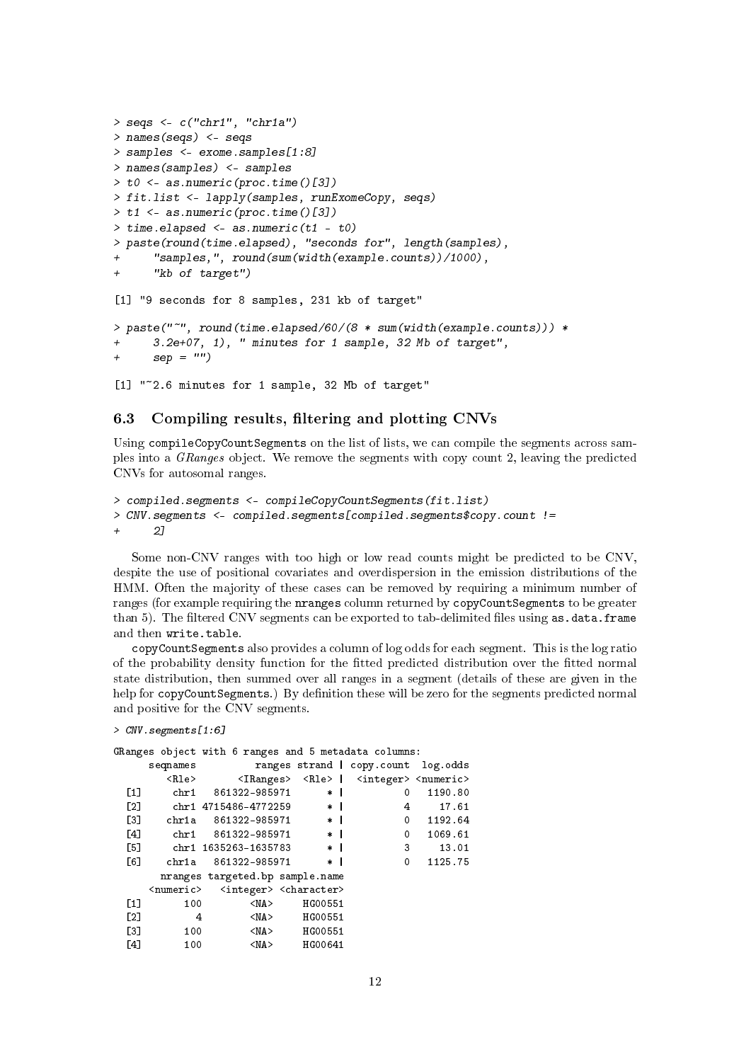```
> seqs \leq c("chr1", "chr1a")
> names(seqs) <- seqs
> samples <- exome.samples[1:8]
> names(samples) <- samples
> t0 <- as.numeric(proc.time()[3])
> fit.list <- lapply(samples, runExomeCopy, seqs)
> t1 <- as.numeric(proc.time()[3])
> time.elapsed <- as.numeric(t1 - t0)
> paste(round(time.elapsed), "seconds for", length(samples),
      "samples, ", round(sumwidth(example.counts)) / 1000),+ "kb of target")
[1] "9 seconds for 8 samples, 231 kb of target"
> paste("~", round(time.elapsed/60/(8 * sum(width(example.counts))) *
      3.2e+07, 1), " minutes for 1 sample, 32 Mb of target",
+ \texttt{sep} = "")[1] "~2.6 minutes for 1 sample, 32 Mb of target"
```
### <span id="page-11-0"></span>6.3 Compiling results, filtering and plotting CNVs

Using compileCopyCountSegments on the list of lists, we can compile the segments across samples into a GRanges object. We remove the segments with copy count 2, leaving the predicted CNVs for autosomal ranges.

```
> compiled.segments <- compileCopyCountSegments(fit.list)
> CNV.segments <- compiled.segments[compiled.segments$copy.count !=
      2]
```
Some non-CNV ranges with too high or low read counts might be predicted to be CNV, despite the use of positional covariates and overdispersion in the emission distributions of the HMM. Often the majority of these cases can be removed by requiring a minimum number of ranges (for example requiring the nranges column returned by copyCountSegments to be greater than 5). The filtered CNV segments can be exported to tab-delimited files using as.data.frame and then write.table.

copyCountSegments also provides a column of log odds for each segment. This is the log ratio of the probability density function for the tted predicted distribution over the tted normal state distribution, then summed over all ranges in a segment (details of these are given in the help for copyCountSegments.) By definition these will be zero for the segments predicted normal and positive for the CNV segments.

```
> CNV.segments[1:6]
```

```
GRanges object with 6 ranges and 5 metadata columns:
```

|     | seqnames      |                                                                 |                               |                | ranges strand   copy.count log.odds                                       |                         |
|-----|---------------|-----------------------------------------------------------------|-------------------------------|----------------|---------------------------------------------------------------------------|-------------------------|
|     | <rle></rle>   |                                                                 |                               |                | <iranges> <rle>   <integer> <numeric></numeric></integer></rle></iranges> |                         |
| [1] | ${\rm chr} 1$ | 861322-985971                                                   | $*$                           |                | 0                                                                         | 1190.80                 |
| [2] |               | chr1_4715486-4772259 *                                          |                               | $\mathbf{I}$   | 4                                                                         | 17.61                   |
| [3] |               | chr1a 861322-985971 *                                           |                               | $\blacksquare$ |                                                                           | $\mathbf{0}$<br>1192.64 |
| [4] |               | chr1 861322-985971 *                                            |                               |                | $\mathbf{0}$                                                              | 1069.61                 |
| [5] |               | chr1_1635263-1635783   *                                        |                               |                | $\overline{\phantom{a}}$ 3                                                | 13.01                   |
| [6] | chr1a         | 861322-985971                                                   | $\pmb{\ast}$                  |                | 0                                                                         | 1125.75                 |
|     |               | nranges targeted.bp sample.name                                 |                               |                |                                                                           |                         |
|     |               | <numeric> <integer> <character></character></integer></numeric> |                               |                |                                                                           |                         |
| [1] | 100           | $<$ NA $>$                                                      | HG00551                       |                |                                                                           |                         |
| [2] | $\frac{4}{3}$ | $<$ NA $>$                                                      | HG00551                       |                |                                                                           |                         |
| [3] | 100           |                                                                 | $\langle N_A \rangle$ HG00551 |                |                                                                           |                         |
| [4] | 100           | $<$ NA $>$                                                      | HG00641                       |                |                                                                           |                         |
|     |               |                                                                 |                               |                |                                                                           |                         |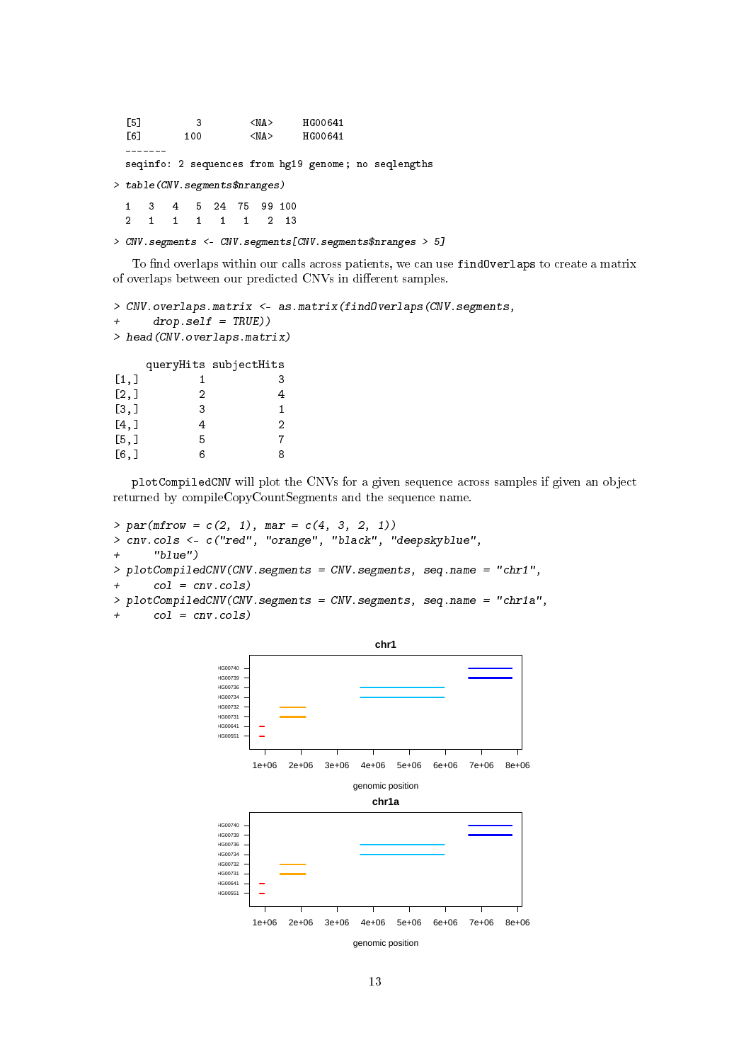[5] 3 <NA> HG00641<br>[6] 100 <NA> HG00641 [6] 100 <NA> HG00641 ------ seqinfo: 2 sequences from hg19 genome; no seqlengths > table(CNV.segments\$nranges) 1 3 4 5 24 75 99 100 2 1 1 1 1 1 2 13

> CNV.segments <- CNV.segments[CNV.segments\$nranges > 5]

To find overlaps within our calls across patients, we can use findOverlaps to create a matrix of overlaps between our predicted CNVs in different samples.

```
> CNV.overlaps.matrix <- as.matrix(findOverlaps(CNV.segments,
+ drop.self = TRUE))
> head(CNV.overlaps.matrix)
     queryHits subjectHits
\begin{bmatrix} 1, 1 & 1 & 3 \end{bmatrix}\begin{bmatrix} 2,1 & 2 & 4 \end{bmatrix}\begin{array}{cccc} [3,] & 3 & 1 \\ [4,] & 4 & 2 \end{array}[4,] 4
[5,] 5 7
[6,] 6 8
```
plotCompiledCNV will plot the CNVs for a given sequence across samples if given an object returned by compileCopyCountSegments and the sequence name.

```
> par(mfrow = c(2, 1), mar = c(4, 3, 2, 1))> cnv.cols <- c("red", "orange", "black", "deepskyblue",
+ "blue")
> plotCompiledCNV(CNV.segments = CNV.segments, seq.name = "chr1",
+ col = cnv.cols)
> plotCompiledCNV(CNV.segments = CNV.segments, seq.name = "chr1a",
+ col = cnv.cols)
```
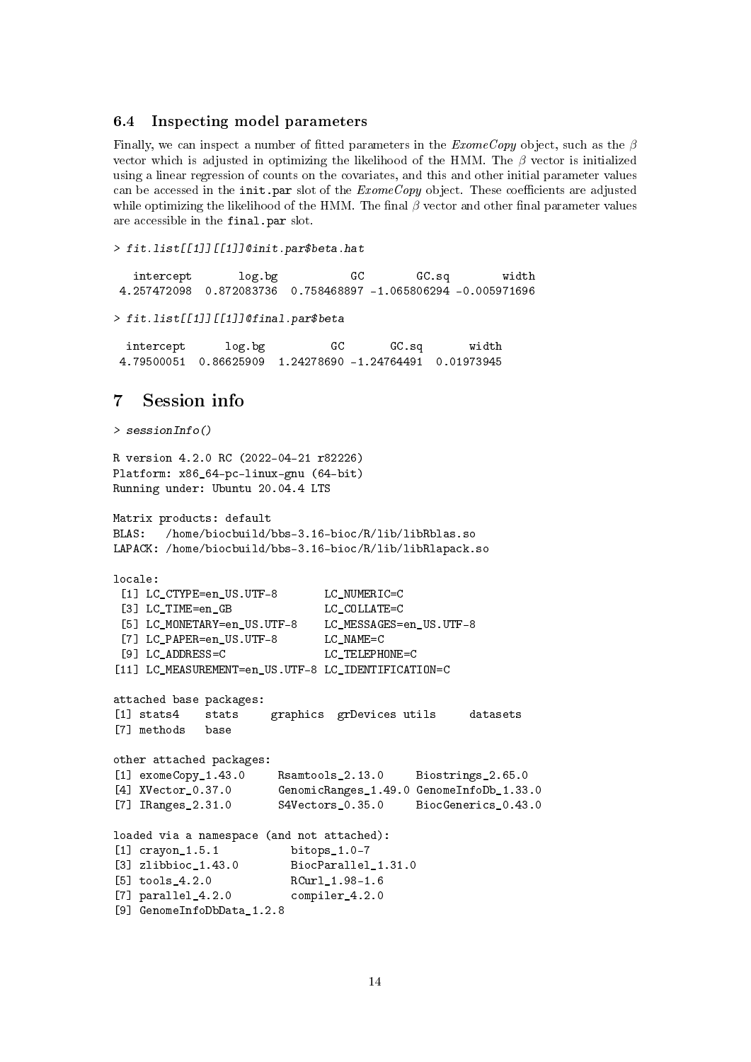#### <span id="page-13-0"></span>6.4 Inspecting model parameters

Finally, we can inspect a number of fitted parameters in the  $ExomeCopy$  object, such as the  $\beta$ vector which is adjusted in optimizing the likelihood of the HMM. The  $\beta$  vector is initialized using a linear regression of counts on the covariates, and this and other initial parameter values can be accessed in the init.par slot of the  $ExomeCopy$  object. These coefficients are adjusted while optimizing the likelihood of the HMM. The final  $\beta$  vector and other final parameter values are accessible in the final.par slot.

```
> fit.list[[1]][[1]]@init.par$beta.hat
```

```
intercept log.bg GC GC.sq width
4.257472098 0.872083736 0.758468897 -1.065806294 -0.005971696
> fit.list[[1]][[1]]@final.par$beta
  intercept log.bg GC GC.sq width
 4.79500051 0.86625909 1.24278690 -1.24764491 0.01973945
7 Session info
> sessionInfo()
R version 4.2.0 RC (2022-04-21 r82226)
Platform: x86_64-pc-linux-gnu (64-bit)
Running under: Ubuntu 20.04.4 LTS
Matrix products: default
BLAS: /home/biocbuild/bbs-3.16-bioc/R/lib/libRblas.so
LAPACK: /home/biocbuild/bbs-3.16-bioc/R/lib/libRlapack.so
locale:
 [1] LC_CTYPE=en_US.UTF-8 LC_NUMERIC=C
 [3] LC_TIME=en_GB LC_COLLATE=C
 [5] LC_MONETARY=en_US.UTF-8 LC_MESSAGES=en_US.UTF-8
 [7] LC_PAPER=en_US.UTF-8 LC_NAME=C
 [9] LC_ADDRESS=C LC_TELEPHONE=C
[11] LC_MEASUREMENT=en_US.UTF-8 LC_IDENTIFICATION=C
attached base packages:
[1] stats4 stats graphics grDevices utils datasets
[7] methods base
other attached packages:
[1] exomeCopy_1.43.0 Rsamtools_2.13.0 Biostrings_2.65.0
[4] XVector_0.37.0 GenomicRanges_1.49.0 GenomeInfoDb_1.33.0
[7] IRanges_2.31.0 S4Vectors_0.35.0 BiocGenerics_0.43.0
loaded via a namespace (and not attached):
[1] crayon_1.5.1 bitops_1.0-7
[3] zlibbioc_1.43.0 BiocParallel_1.31.0
[5] tools 4.2.0 RCurl 1.98-1.6
[7] parallel 4.2.0 compiler 4.2.0
[9] GenomeInfoDbData_1.2.8
```